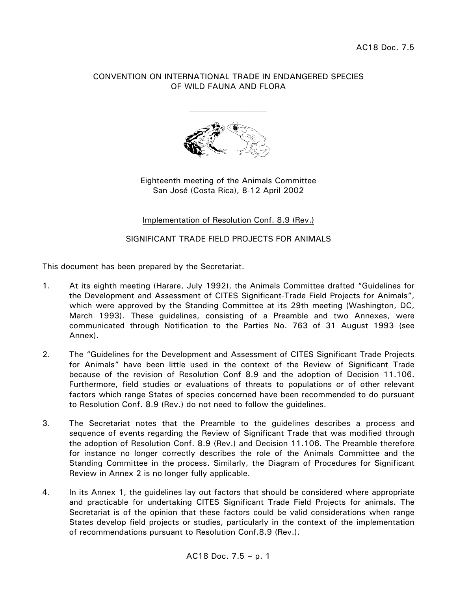## CONVENTION ON INTERNATIONAL TRADE IN ENDANGERED SPECIES OF WILD FAUNA AND FLORA



Eighteenth meeting of the Animals Committee San José (Costa Rica), 8-12 April 2002

Implementation of Resolution Conf. 8.9 (Rev.)

SIGNIFICANT TRADE FIELD PROJECTS FOR ANIMALS

This document has been prepared by the Secretariat.

- 1. At its eighth meeting (Harare, July 1992), the Animals Committee drafted "Guidelines for the Development and Assessment of CITES Significant-Trade Field Projects for Animals", which were approved by the Standing Committee at its 29th meeting (Washington, DC, March 1993). These guidelines, consisting of a Preamble and two Annexes, were communicated through Notification to the Parties No. 763 of 31 August 1993 (see Annex).
- 2. The "Guidelines for the Development and Assessment of CITES Significant Trade Projects for Animals" have been little used in the context of the Review of Significant Trade because of the revision of Resolution Conf 8.9 and the adoption of Decision 11.106. Furthermore, field studies or evaluations of threats to populations or of other relevant factors which range States of species concerned have been recommended to do pursuant to Resolution Conf. 8.9 (Rev.) do not need to follow the guidelines.
- 3. The Secretariat notes that the Preamble to the guidelines describes a process and sequence of events regarding the Review of Significant Trade that was modified through the adoption of Resolution Conf. 8.9 (Rev.) and Decision 11.106. The Preamble therefore for instance no longer correctly describes the role of the Animals Committee and the Standing Committee in the process. Similarly, the Diagram of Procedures for Significant Review in Annex 2 is no longer fully applicable.
- 4. In its Annex 1, the guidelines lay out factors that should be considered where appropriate and practicable for undertaking CITES Significant Trade Field Projects for animals. The Secretariat is of the opinion that these factors could be valid considerations when range States develop field projects or studies, particularly in the context of the implementation of recommendations pursuant to Resolution Conf.8.9 (Rev.).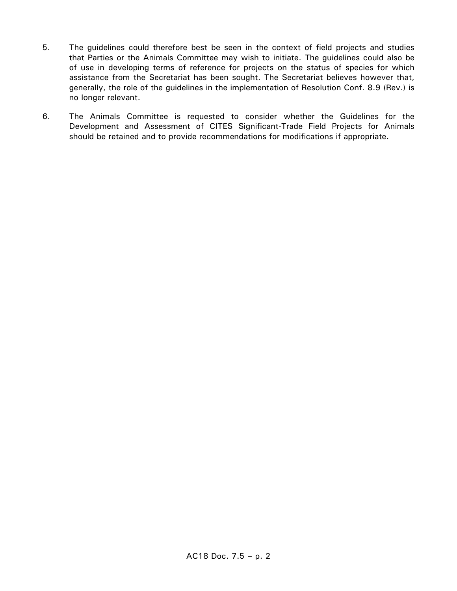- 5. The guidelines could therefore best be seen in the context of field projects and studies that Parties or the Animals Committee may wish to initiate. The guidelines could also be of use in developing terms of reference for projects on the status of species for which assistance from the Secretariat has been sought. The Secretariat believes however that, generally, the role of the guidelines in the implementation of Resolution Conf. 8.9 (Rev.) is no longer relevant.
- 6. The Animals Committee is requested to consider whether the Guidelines for the Development and Assessment of CITES Significant-Trade Field Projects for Animals should be retained and to provide recommendations for modifications if appropriate.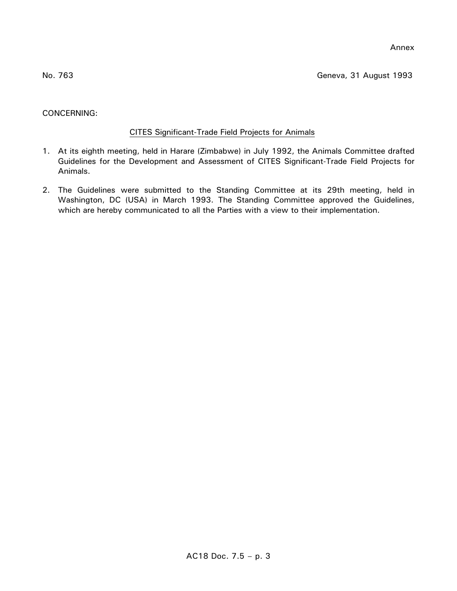Annex

No. 763 Geneva, 31 August 1993

# CONCERNING:

# CITES Significant-Trade Field Projects for Animals

- 1. At its eighth meeting, held in Harare (Zimbabwe) in July 1992, the Animals Committee drafted Guidelines for the Development and Assessment of CITES Significant-Trade Field Projects for Animals.
- 2. The Guidelines were submitted to the Standing Committee at its 29th meeting, held in Washington, DC (USA) in March 1993. The Standing Committee approved the Guidelines, which are hereby communicated to all the Parties with a view to their implementation.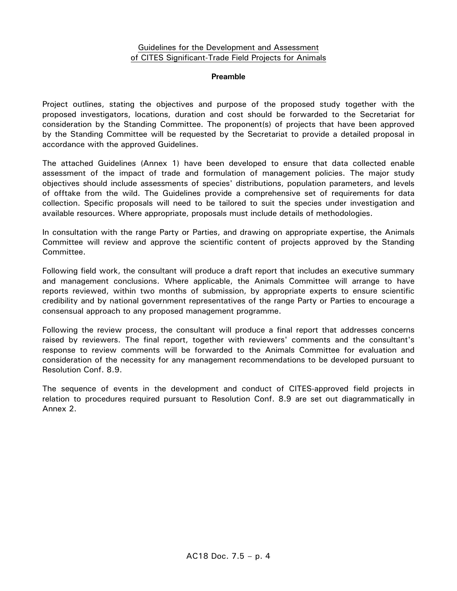## Guidelines for the Development and Assessment of CITES Significant-Trade Field Projects for Animals

#### **Preamble**

Project outlines, stating the objectives and purpose of the proposed study together with the proposed investigators, locations, duration and cost should be forwarded to the Secretariat for consideration by the Standing Committee. The proponent(s) of projects that have been approved by the Standing Committee will be requested by the Secretariat to provide a detailed proposal in accordance with the approved Guidelines.

The attached Guidelines (Annex 1) have been developed to ensure that data collected enable assessment of the impact of trade and formulation of management policies. The major study objectives should include assessments of species' distributions, population parameters, and levels of offtake from the wild. The Guidelines provide a comprehensive set of requirements for data collection. Specific proposals will need to be tailored to suit the species under investigation and available resources. Where appropriate, proposals must include details of methodologies.

In consultation with the range Party or Parties, and drawing on appropriate expertise, the Animals Committee will review and approve the scientific content of projects approved by the Standing Committee.

Following field work, the consultant will produce a draft report that includes an executive summary and management conclusions. Where applicable, the Animals Committee will arrange to have reports reviewed, within two months of submission, by appropriate experts to ensure scientific credibility and by national government representatives of the range Party or Parties to encourage a consensual approach to any proposed management programme.

Following the review process, the consultant will produce a final report that addresses concerns raised by reviewers. The final report, together with reviewers' comments and the consultant's response to review comments will be forwarded to the Animals Committee for evaluation and consideration of the necessity for any management recommendations to be developed pursuant to Resolution Conf. 8.9.

The sequence of events in the development and conduct of CITES-approved field projects in relation to procedures required pursuant to Resolution Conf. 8.9 are set out diagrammatically in Annex 2.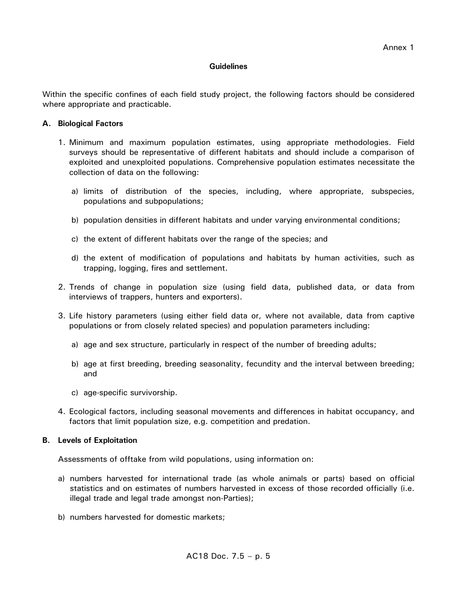### **Guidelines**

Within the specific confines of each field study project, the following factors should be considered where appropriate and practicable.

### **A. Biological Factors**

- 1. Minimum and maximum population estimates, using appropriate methodologies. Field surveys should be representative of different habitats and should include a comparison of exploited and unexploited populations. Comprehensive population estimates necessitate the collection of data on the following:
	- a) limits of distribution of the species, including, where appropriate, subspecies, populations and subpopulations;
	- b) population densities in different habitats and under varying environmental conditions;
	- c) the extent of different habitats over the range of the species; and
	- d) the extent of modification of populations and habitats by human activities, such as trapping, logging, fires and settlement.
- 2. Trends of change in population size (using field data, published data, or data from interviews of trappers, hunters and exporters).
- 3. Life history parameters (using either field data or, where not available, data from captive populations or from closely related species) and population parameters including:
	- a) age and sex structure, particularly in respect of the number of breeding adults;
	- b) age at first breeding, breeding seasonality, fecundity and the interval between breeding; and
	- c) age-specific survivorship.
- 4. Ecological factors, including seasonal movements and differences in habitat occupancy, and factors that limit population size, e.g. competition and predation.

#### **B. Levels of Exploitation**

Assessments of offtake from wild populations, using information on:

- a) numbers harvested for international trade (as whole animals or parts) based on official statistics and on estimates of numbers harvested in excess of those recorded officially (i.e. illegal trade and legal trade amongst non-Parties);
- b) numbers harvested for domestic markets;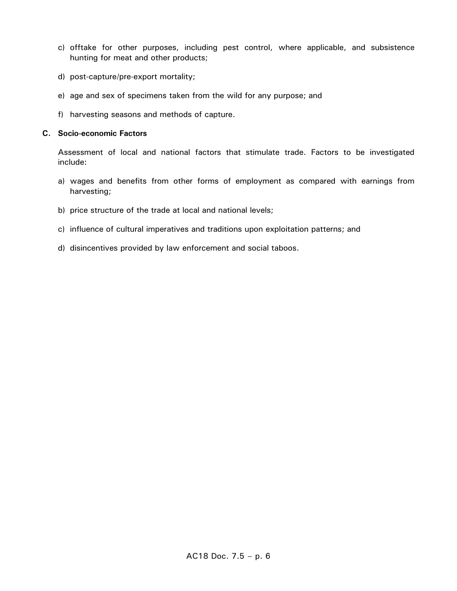- c) offtake for other purposes, including pest control, where applicable, and subsistence hunting for meat and other products;
- d) post-capture/pre-export mortality;
- e) age and sex of specimens taken from the wild for any purpose; and
- f) harvesting seasons and methods of capture.

### **C. Socio-economic Factors**

Assessment of local and national factors that stimulate trade. Factors to be investigated include:

- a) wages and benefits from other forms of employment as compared with earnings from harvesting;
- b) price structure of the trade at local and national levels;
- c) influence of cultural imperatives and traditions upon exploitation patterns; and
- d) disincentives provided by law enforcement and social taboos.